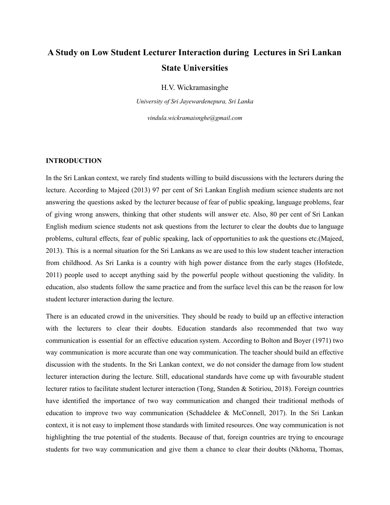# **A Study on Low Student Lecturer Interaction during Lectures in Sri Lankan State Universities**

H.V. Wickramasinghe

*University of Sri Jayewardenepura, Sri Lanka*

*vindula.wickramaisnghe@gmail.com*

#### **INTRODUCTION**

In the Sri Lankan context, we rarely find students willing to build discussions with the lecturers during the lecture. According to Majeed (2013) 97 per cent of Sri Lankan English medium science students are not answering the questions asked by the lecturer because of fear of public speaking, language problems, fear of giving wrong answers, thinking that other students will answer etc. Also, 80 per cent of Sri Lankan English medium science students not ask questions from the lecturer to clear the doubts due to language problems, cultural effects, fear of public speaking, lack of opportunities to ask the questions etc.(Majeed, 2013). This is a normal situation for the Sri Lankans as we are used to this low student teacher interaction from childhood. As Sri Lanka is a country with high power distance from the early stages (Hofstede, 2011) people used to accept anything said by the powerful people without questioning the validity. In education, also students follow the same practice and from the surface level this can be the reason for low student lecturer interaction during the lecture.

There is an educated crowd in the universities. They should be ready to build up an effective interaction with the lecturers to clear their doubts. Education standards also recommended that two way communication is essential for an effective education system. According to Bolton and Boyer (1971) two way communication is more accurate than one way communication. The teacher should build an effective discussion with the students. In the Sri Lankan context, we do not consider the damage from low student lecturer interaction during the lecture. Still, educational standards have come up with favourable student lecturer ratios to facilitate student lecturer interaction (Tong, Standen & Sotiriou, 2018). Foreign countries have identified the importance of two way communication and changed their traditional methods of education to improve two way communication (Schaddelee & McConnell, 2017). In the Sri Lankan context, it is not easy to implement those standards with limited resources. One way communication is not highlighting the true potential of the students. Because of that, foreign countries are trying to encourage students for two way communication and give them a chance to clear their doubts (Nkhoma, Thomas,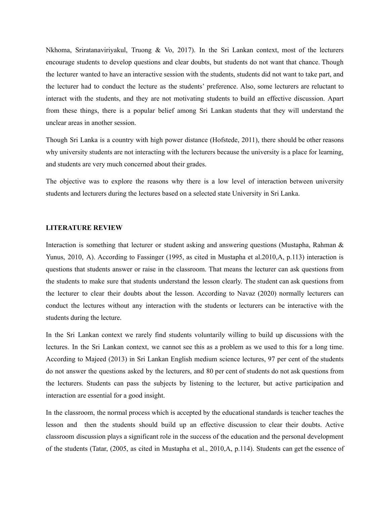Nkhoma, Sriratanaviriyakul, Truong & Vo, 2017). In the Sri Lankan context, most of the lecturers encourage students to develop questions and clear doubts, but students do not want that chance. Though the lecturer wanted to have an interactive session with the students, students did not want to take part, and the lecturer had to conduct the lecture as the students' preference. Also, some lecturers are reluctant to interact with the students, and they are not motivating students to build an effective discussion. Apart from these things, there is a popular belief among Sri Lankan students that they will understand the unclear areas in another session.

Though Sri Lanka is a country with high power distance (Hofstede, 2011), there should be other reasons why university students are not interacting with the lecturers because the university is a place for learning, and students are very much concerned about their grades.

The objective was to explore the reasons why there is a low level of interaction between university students and lecturers during the lectures based on a selected state University in Sri Lanka.

### **LITERATURE REVIEW**

Interaction is something that lecturer or student asking and answering questions (Mustapha, Rahman & Yunus, 2010, A). According to Fassinger (1995, as cited in Mustapha et al.2010,A, p.113) interaction is questions that students answer or raise in the classroom. That means the lecturer can ask questions from the students to make sure that students understand the lesson clearly. The student can ask questions from the lecturer to clear their doubts about the lesson. According to Navaz (2020) normally lecturers can conduct the lectures without any interaction with the students or lecturers can be interactive with the students during the lecture.

In the Sri Lankan context we rarely find students voluntarily willing to build up discussions with the lectures. In the Sri Lankan context, we cannot see this as a problem as we used to this for a long time. According to Majeed (2013) in Sri Lankan English medium science lectures, 97 per cent of the students do not answer the questions asked by the lecturers, and 80 per cent of students do not ask questions from the lecturers. Students can pass the subjects by listening to the lecturer, but active participation and interaction are essential for a good insight.

In the classroom, the normal process which is accepted by the educational standards is teacher teaches the lesson and then the students should build up an effective discussion to clear their doubts. Active classroom discussion plays a significant role in the success of the education and the personal development of the students (Tatar, (2005, as cited in Mustapha et al., 2010,A, p.114). Students can get the essence of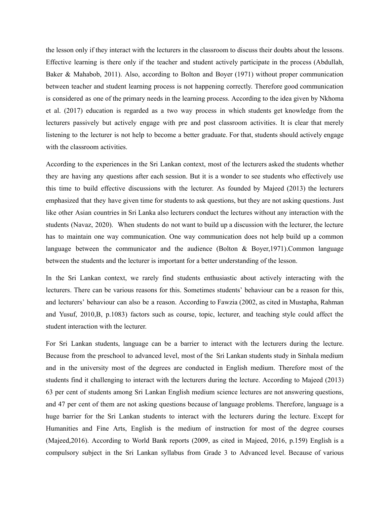the lesson only if they interact with the lecturers in the classroom to discuss their doubts about the lessons. Effective learning is there only if the teacher and student actively participate in the process (Abdullah, Baker & Mahabob, 2011). Also, according to Bolton and Boyer (1971) without proper communication between teacher and student learning process is not happening correctly. Therefore good communication is considered as one of the primary needs in the learning process. According to the idea given by Nkhoma et al. (2017) education is regarded as a two way process in which students get knowledge from the lecturers passively but actively engage with pre and post classroom activities. It is clear that merely listening to the lecturer is not help to become a better graduate. For that, students should actively engage with the classroom activities.

According to the experiences in the Sri Lankan context, most of the lecturers asked the students whether they are having any questions after each session. But it is a wonder to see students who effectively use this time to build effective discussions with the lecturer. As founded by Majeed (2013) the lecturers emphasized that they have given time for students to ask questions, but they are not asking questions. Just like other Asian countries in Sri Lanka also lecturers conduct the lectures without any interaction with the students (Navaz, 2020). When students do not want to build up a discussion with the lecturer, the lecture has to maintain one way communication. One way communication does not help build up a common language between the communicator and the audience (Bolton & Boyer,1971).Common language between the students and the lecturer is important for a better understanding of the lesson.

In the Sri Lankan context, we rarely find students enthusiastic about actively interacting with the lecturers. There can be various reasons for this. Sometimes students' behaviour can be a reason for this, and lecturers' behaviour can also be a reason. According to Fawzia (2002, as cited in Mustapha, Rahman and Yusuf, 2010,B, p.1083) factors such as course, topic, lecturer, and teaching style could affect the student interaction with the lecturer.

For Sri Lankan students, language can be a barrier to interact with the lecturers during the lecture. Because from the preschool to advanced level, most of the Sri Lankan students study in Sinhala medium and in the university most of the degrees are conducted in English medium. Therefore most of the students find it challenging to interact with the lecturers during the lecture. According to Majeed (2013) 63 per cent of students among Sri Lankan English medium science lectures are not answering questions, and 47 per cent of them are not asking questions because of language problems. Therefore, language is a huge barrier for the Sri Lankan students to interact with the lecturers during the lecture. Except for Humanities and Fine Arts, English is the medium of instruction for most of the degree courses (Majeed,2016). According to World Bank reports (2009, as cited in Majeed, 2016, p.159) English is a compulsory subject in the Sri Lankan syllabus from Grade 3 to Advanced level. Because of various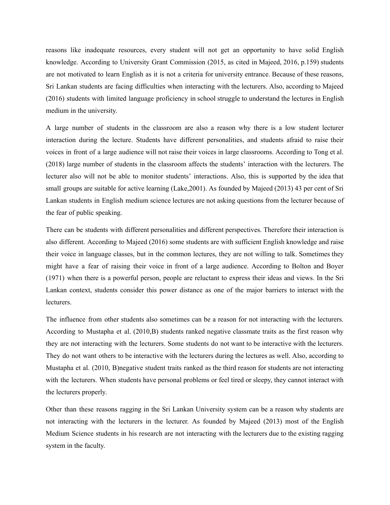reasons like inadequate resources, every student will not get an opportunity to have solid English knowledge. According to University Grant Commission (2015, as cited in Majeed, 2016, p.159) students are not motivated to learn English as it is not a criteria for university entrance. Because of these reasons, Sri Lankan students are facing difficulties when interacting with the lecturers. Also, according to Majeed (2016) students with limited language proficiency in school struggle to understand the lectures in English medium in the university.

A large number of students in the classroom are also a reason why there is a low student lecturer interaction during the lecture. Students have different personalities, and students afraid to raise their voices in front of a large audience will not raise their voices in large classrooms. According to Tong et al. (2018) large number of students in the classroom affects the students' interaction with the lecturers. The lecturer also will not be able to monitor students' interactions. Also, this is supported by the idea that small groups are suitable for active learning (Lake,2001). As founded by Majeed (2013) 43 per cent of Sri Lankan students in English medium science lectures are not asking questions from the lecturer because of the fear of public speaking.

There can be students with different personalities and different perspectives. Therefore their interaction is also different. According to Majeed (2016) some students are with sufficient English knowledge and raise their voice in language classes, but in the common lectures, they are not willing to talk. Sometimes they might have a fear of raising their voice in front of a large audience. According to Bolton and Boyer (1971) when there is a powerful person, people are reluctant to express their ideas and views. In the Sri Lankan context, students consider this power distance as one of the major barriers to interact with the lecturers.

The influence from other students also sometimes can be a reason for not interacting with the lecturers. According to Mustapha et al. (2010,B) students ranked negative classmate traits as the first reason why they are not interacting with the lecturers. Some students do not want to be interactive with the lecturers. They do not want others to be interactive with the lecturers during the lectures as well. Also, according to Mustapha et al. (2010, B)negative student traits ranked as the third reason for students are not interacting with the lecturers. When students have personal problems or feel tired or sleepy, they cannot interact with the lecturers properly.

Other than these reasons ragging in the Sri Lankan University system can be a reason why students are not interacting with the lecturers in the lecturer. As founded by Majeed (2013) most of the English Medium Science students in his research are not interacting with the lecturers due to the existing ragging system in the faculty.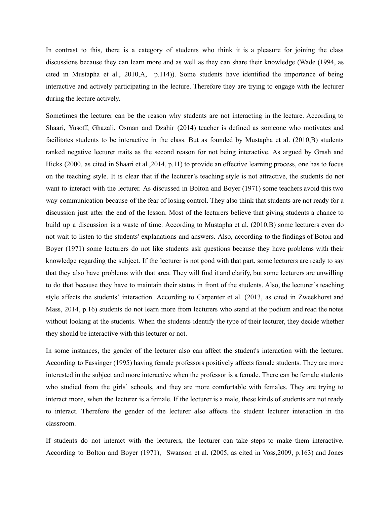In contrast to this, there is a category of students who think it is a pleasure for joining the class discussions because they can learn more and as well as they can share their knowledge (Wade (1994, as cited in Mustapha et al., 2010,A, p.114)). Some students have identified the importance of being interactive and actively participating in the lecture. Therefore they are trying to engage with the lecturer during the lecture actively.

Sometimes the lecturer can be the reason why students are not interacting in the lecture. According to Shaari, Yusoff, Ghazali, Osman and Dzahir (2014) teacher is defined as someone who motivates and facilitates students to be interactive in the class. But as founded by Mustapha et al. (2010,B) students ranked negative lecturer traits as the second reason for not being interactive. As argued by Grash and Hicks (2000, as cited in Shaari et al.,2014, p.11) to provide an effective learning process, one has to focus on the teaching style. It is clear that if the lecturer's teaching style is not attractive, the students do not want to interact with the lecturer. As discussed in Bolton and Boyer (1971) some teachers avoid this two way communication because of the fear of losing control. They also think that students are not ready for a discussion just after the end of the lesson. Most of the lecturers believe that giving students a chance to build up a discussion is a waste of time. According to Mustapha et al. (2010,B) some lecturers even do not wait to listen to the students' explanations and answers. Also, according to the findings of Boton and Boyer (1971) some lecturers do not like students ask questions because they have problems with their knowledge regarding the subject. If the lecturer is not good with that part, some lecturers are ready to say that they also have problems with that area. They will find it and clarify, but some lecturers are unwilling to do that because they have to maintain their status in front of the students. Also, the lecturer's teaching style affects the students' interaction. According to Carpenter et al. (2013, as cited in Zweekhorst and Mass, 2014, p.16) students do not learn more from lecturers who stand at the podium and read the notes without looking at the students. When the students identify the type of their lecturer, they decide whether they should be interactive with this lecturer or not.

In some instances, the gender of the lecturer also can affect the student's interaction with the lecturer. According to Fassinger (1995) having female professors positively affects female students. They are more interested in the subject and more interactive when the professor is a female. There can be female students who studied from the girls' schools, and they are more comfortable with females. They are trying to interact more, when the lecturer is a female. If the lecturer is a male, these kinds of students are not ready to interact. Therefore the gender of the lecturer also affects the student lecturer interaction in the classroom.

If students do not interact with the lecturers, the lecturer can take steps to make them interactive. According to Bolton and Boyer (1971), Swanson et al. (2005, as cited in Voss,2009, p.163) and Jones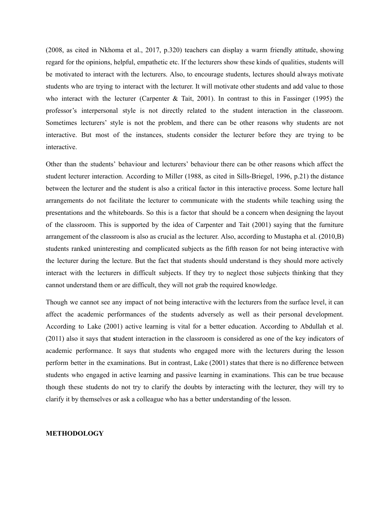(2008, as cited in Nkhoma et al., 2017, p.320) teachers can display a warm friendly attitude, showing regard for the opinions, helpful, empathetic etc. If the lecturers show these kinds of qualities, students will be motivated to interact with the lecturers. Also, to encourage students, lectures should always motivate students who are trying to interact with the lecturer. It will motivate other students and add value to those who interact with the lecturer (Carpenter & Tait, 2001). In contrast to this in Fassinger (1995) the professor's interpersonal style is not directly related to the student interaction in the classroom. Sometimes lecturers' style is not the problem, and there can be other reasons why students are not interactive. But most of the instances, students consider the lecturer before they are trying to be interactive.

Other than the students' behaviour and lecturers' behaviour there can be other reasons which affect the student lecturer interaction. According to Miller (1988, as cited in Sills-Briegel, 1996, p.21) the distance between the lecturer and the student is also a critical factor in this interactive process. Some lecture hall arrangements do not facilitate the lecturer to communicate with the students while teaching using the presentations and the whiteboards. So this is a factor that should be a concern when designing the layout of the classroom. This is supported by the idea of Carpenter and Tait (2001) saying that the furniture arrangement of the classroom is also as crucial as the lecturer. Also, according to Mustapha et al. (2010,B) students ranked uninteresting and complicated subjects as the fifth reason for not being interactive with the lecturer during the lecture. But the fact that students should understand is they should more actively interact with the lecturers in difficult subjects. If they try to neglect those subjects thinking that they cannot understand them or are difficult, they will not grab the required knowledge.

Though we cannot see any impact of not being interactive with the lecturers from the surface level, it can affect the academic performances of the students adversely as well as their personal development. According to Lake (2001) active learning is vital for a better education. According to Abdullah et al. (2011) also it says that **s**tudent interaction in the classroom is considered as one of the key indicators of academic performance. It says that students who engaged more with the lecturers during the lesson perform better in the examinations. But in contrast, Lake (2001) states that there is no difference between students who engaged in active learning and passive learning in examinations. This can be true because though these students do not try to clarify the doubts by interacting with the lecturer, they will try to clarify it by themselves or ask a colleague who has a better understanding of the lesson.

#### **METHODOLOGY**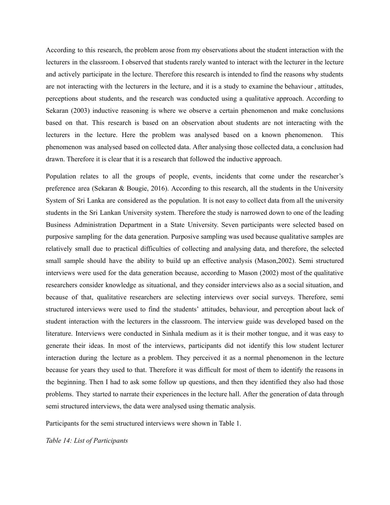According to this research, the problem arose from my observations about the student interaction with the lecturers in the classroom. I observed that students rarely wanted to interact with the lecturer in the lecture and actively participate in the lecture. Therefore this research is intended to find the reasons why students are not interacting with the lecturers in the lecture, and it is a study to examine the behaviour , attitudes, perceptions about students, and the research was conducted using a qualitative approach. According to Sekaran (2003) inductive reasoning is where we observe a certain phenomenon and make conclusions based on that. This research is based on an observation about students are not interacting with the lecturers in the lecture. Here the problem was analysed based on a known phenomenon. This phenomenon was analysed based on collected data. After analysing those collected data, a conclusion had drawn. Therefore it is clear that it is a research that followed the inductive approach.

Population relates to all the groups of people, events, incidents that come under the researcher's preference area (Sekaran & Bougie, 2016). According to this research, all the students in the University System of Sri Lanka are considered as the population. It is not easy to collect data from all the university students in the Sri Lankan University system. Therefore the study is narrowed down to one of the leading Business Administration Department in a State University. Seven participants were selected based on purposive sampling for the data generation. Purposive sampling was used because qualitative samples are relatively small due to practical difficulties of collecting and analysing data, and therefore, the selected small sample should have the ability to build up an effective analysis (Mason,2002). Semi structured interviews were used for the data generation because, according to Mason (2002) most of the qualitative researchers consider knowledge as situational, and they consider interviews also as a social situation, and because of that, qualitative researchers are selecting interviews over social surveys. Therefore, semi structured interviews were used to find the students' attitudes, behaviour, and perception about lack of student interaction with the lecturers in the classroom. The interview guide was developed based on the literature. Interviews were conducted in Sinhala medium as it is their mother tongue, and it was easy to generate their ideas. In most of the interviews, participants did not identify this low student lecturer interaction during the lecture as a problem. They perceived it as a normal phenomenon in the lecture because for years they used to that. Therefore it was difficult for most of them to identify the reasons in the beginning. Then I had to ask some follow up questions, and then they identified they also had those problems. They started to narrate their experiences in the lecture hall. After the generation of data through semi structured interviews, the data were analysed using thematic analysis.

Participants for the semi structured interviews were shown in Table 1.

*Table 14: List of Participants*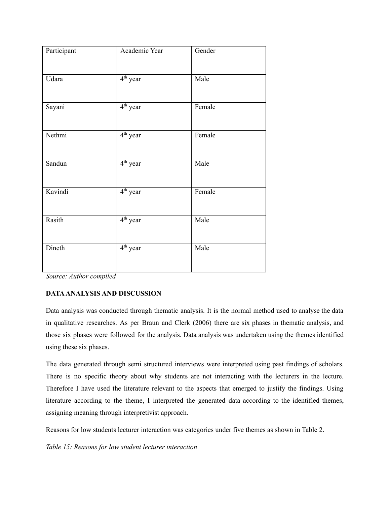| Participant | Academic Year                   | Gender |
|-------------|---------------------------------|--------|
| Udara       | 4 <sup>th</sup> year            | Male   |
| Sayani      | $\overline{4}^{\text{th}}$ year | Female |
| Nethmi      | 4 <sup>th</sup> year            | Female |
| Sandun      | $\overline{4^{th}}$ year        | Male   |
| Kavindi     | 4 <sup>th</sup> year            | Female |
| Rasith      | 4 <sup>th</sup> year            | Male   |
| Dineth      | 4 <sup>th</sup> year            | Male   |

*Source: Author compiled*

## **DATAANALYSIS AND DISCUSSION**

Data analysis was conducted through thematic analysis. It is the normal method used to analyse the data in qualitative researches. As per Braun and Clerk (2006) there are six phases in thematic analysis, and those six phases were followed for the analysis. Data analysis was undertaken using the themes identified using these six phases.

The data generated through semi structured interviews were interpreted using past findings of scholars. There is no specific theory about why students are not interacting with the lecturers in the lecture. Therefore I have used the literature relevant to the aspects that emerged to justify the findings. Using literature according to the theme, I interpreted the generated data according to the identified themes, assigning meaning through interpretivist approach.

Reasons for low students lecturer interaction was categories under five themes as shown in Table 2.

*Table 15: Reasons for low student lecturer interaction*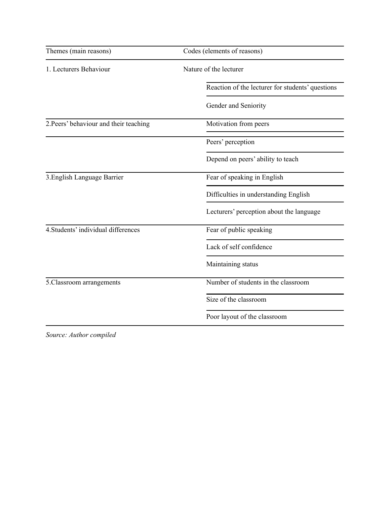| Themes (main reasons)                  | Codes (elements of reasons)                      |  |
|----------------------------------------|--------------------------------------------------|--|
| 1. Lecturers Behaviour                 | Nature of the lecturer                           |  |
|                                        | Reaction of the lecturer for students' questions |  |
|                                        | Gender and Seniority                             |  |
| 2. Peers' behaviour and their teaching | Motivation from peers                            |  |
|                                        | Peers' perception                                |  |
|                                        | Depend on peers' ability to teach                |  |
| 3. English Language Barrier            | Fear of speaking in English                      |  |
|                                        | Difficulties in understanding English            |  |
|                                        | Lecturers' perception about the language         |  |
| 4. Students' individual differences    | Fear of public speaking                          |  |
|                                        | Lack of self confidence                          |  |
|                                        | Maintaining status                               |  |
| 5. Classroom arrangements              | Number of students in the classroom              |  |
|                                        | Size of the classroom                            |  |
|                                        | Poor layout of the classroom                     |  |

*Source: Author compiled*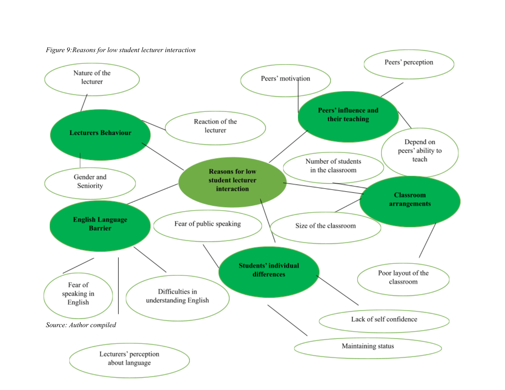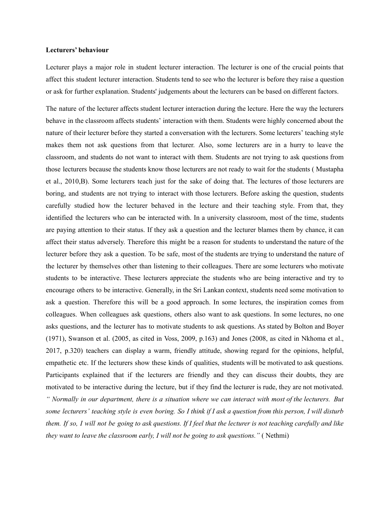#### **Lecturers' behaviour**

Lecturer plays a major role in student lecturer interaction. The lecturer is one of the crucial points that affect this student lecturer interaction. Students tend to see who the lecturer is before they raise a question or ask for further explanation. Students' judgements about the lecturers can be based on different factors.

The nature of the lecturer affects student lecturer interaction during the lecture. Here the way the lecturers behave in the classroom affects students' interaction with them. Students were highly concerned about the nature of their lecturer before they started a conversation with the lecturers. Some lecturers' teaching style makes them not ask questions from that lecturer. Also, some lecturers are in a hurry to leave the classroom, and students do not want to interact with them. Students are not trying to ask questions from those lecturers because the students know those lecturers are not ready to wait for the students ( Mustapha et al., 2010,B). Some lecturers teach just for the sake of doing that. The lectures of those lecturers are boring, and students are not trying to interact with those lecturers. Before asking the question, students carefully studied how the lecturer behaved in the lecture and their teaching style. From that, they identified the lecturers who can be interacted with. In a university classroom, most of the time, students are paying attention to their status. If they ask a question and the lecturer blames them by chance, it can affect their status adversely. Therefore this might be a reason for students to understand the nature of the lecturer before they ask a question. To be safe, most of the students are trying to understand the nature of the lecturer by themselves other than listening to their colleagues. There are some lecturers who motivate students to be interactive. These lecturers appreciate the students who are being interactive and try to encourage others to be interactive. Generally, in the Sri Lankan context, students need some motivation to ask a question. Therefore this will be a good approach. In some lectures, the inspiration comes from colleagues. When colleagues ask questions, others also want to ask questions. In some lectures, no one asks questions, and the lecturer has to motivate students to ask questions. As stated by Bolton and Boyer (1971), Swanson et al. (2005, as cited in Voss, 2009, p.163) and Jones (2008, as cited in Nkhoma et al., 2017, p.320) teachers can display a warm, friendly attitude, showing regard for the opinions, helpful, empathetic etc. If the lecturers show these kinds of qualities, students will be motivated to ask questions. Participants explained that if the lecturers are friendly and they can discuss their doubts, they are motivated to be interactive during the lecture, but if they find the lecturer is rude, they are not motivated. " Normally in our department, there is a situation where we can interact with most of the lecturers. But some lecturers' teaching style is even boring. So I think if I ask a question from this person, I will disturb them. If so, I will not be going to ask questions. If I feel that the lecturer is not teaching carefully and like *they want to leave the classroom early, I will not be going to ask questions."* ( Nethmi)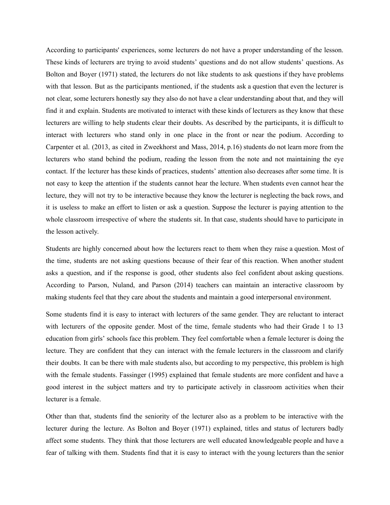According to participants' experiences, some lecturers do not have a proper understanding of the lesson. These kinds of lecturers are trying to avoid students' questions and do not allow students' questions. As Bolton and Boyer (1971) stated, the lecturers do not like students to ask questions if they have problems with that lesson. But as the participants mentioned, if the students ask a question that even the lecturer is not clear, some lecturers honestly say they also do not have a clear understanding about that, and they will find it and explain. Students are motivated to interact with these kinds of lecturers as they know that these lecturers are willing to help students clear their doubts. As described by the participants, it is difficult to interact with lecturers who stand only in one place in the front or near the podium. According to Carpenter et al. (2013, as cited in Zweekhorst and Mass, 2014, p.16) students do not learn more from the lecturers who stand behind the podium, reading the lesson from the note and not maintaining the eye contact. If the lecturer has these kinds of practices, students' attention also decreases after some time. It is not easy to keep the attention if the students cannot hear the lecture. When students even cannot hear the lecture, they will not try to be interactive because they know the lecturer is neglecting the back rows, and it is useless to make an effort to listen or ask a question. Suppose the lecturer is paying attention to the whole classroom irrespective of where the students sit. In that case, students should have to participate in the lesson actively.

Students are highly concerned about how the lecturers react to them when they raise a question. Most of the time, students are not asking questions because of their fear of this reaction. When another student asks a question, and if the response is good, other students also feel confident about asking questions. According to Parson, Nuland, and Parson (2014) teachers can maintain an interactive classroom by making students feel that they care about the students and maintain a good interpersonal environment.

Some students find it is easy to interact with lecturers of the same gender. They are reluctant to interact with lecturers of the opposite gender. Most of the time, female students who had their Grade 1 to 13 education from girls' schools face this problem. They feel comfortable when a female lecturer is doing the lecture. They are confident that they can interact with the female lecturers in the classroom and clarify their doubts. It can be there with male students also, but according to my perspective, this problem is high with the female students. Fassinger (1995) explained that female students are more confident and have a good interest in the subject matters and try to participate actively in classroom activities when their lecturer is a female.

Other than that, students find the seniority of the lecturer also as a problem to be interactive with the lecturer during the lecture. As Bolton and Boyer (1971) explained, titles and status of lecturers badly affect some students. They think that those lecturers are well educated knowledgeable people and have a fear of talking with them. Students find that it is easy to interact with the young lecturers than the senior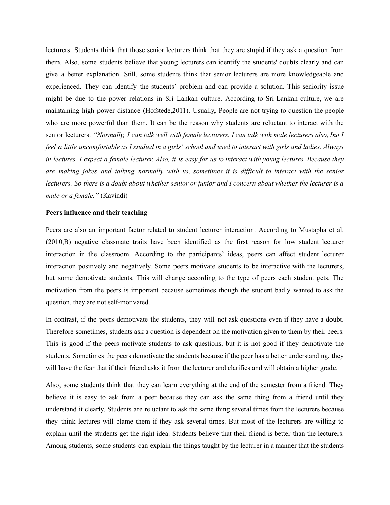lecturers. Students think that those senior lecturers think that they are stupid if they ask a question from them. Also, some students believe that young lecturers can identify the students' doubts clearly and can give a better explanation. Still, some students think that senior lecturers are more knowledgeable and experienced. They can identify the students' problem and can provide a solution. This seniority issue might be due to the power relations in Sri Lankan culture. According to Sri Lankan culture, we are maintaining high power distance (Hofstede,2011). Usually, People are not trying to question the people who are more powerful than them. It can be the reason why students are reluctant to interact with the senior lecturers. "Normally, I can talk well with female lecturers. I can talk with male lecturers also, but I feel a little uncomfortable as I studied in a girls' school and used to interact with girls and ladies. Always in lectures, I expect a female lecturer. Also, it is easy for us to interact with young lectures. Because they are making jokes and talking normally with us, sometimes it is difficult to interact with the senior lecturers. So there is a doubt about whether senior or junior and I concern about whether the lecturer is a *male or a female."* (Kavindi)

#### **Peers influence and their teaching**

Peers are also an important factor related to student lecturer interaction. According to Mustapha et al. (2010,B) negative classmate traits have been identified as the first reason for low student lecturer interaction in the classroom. According to the participants' ideas, peers can affect student lecturer interaction positively and negatively. Some peers motivate students to be interactive with the lecturers, but some demotivate students. This will change according to the type of peers each student gets. The motivation from the peers is important because sometimes though the student badly wanted to ask the question, they are not self-motivated.

In contrast, if the peers demotivate the students, they will not ask questions even if they have a doubt. Therefore sometimes, students ask a question is dependent on the motivation given to them by their peers. This is good if the peers motivate students to ask questions, but it is not good if they demotivate the students. Sometimes the peers demotivate the students because if the peer has a better understanding, they will have the fear that if their friend asks it from the lecturer and clarifies and will obtain a higher grade.

Also, some students think that they can learn everything at the end of the semester from a friend. They believe it is easy to ask from a peer because they can ask the same thing from a friend until they understand it clearly. Students are reluctant to ask the same thing several times from the lecturers because they think lectures will blame them if they ask several times. But most of the lecturers are willing to explain until the students get the right idea. Students believe that their friend is better than the lecturers. Among students, some students can explain the things taught by the lecturer in a manner that the students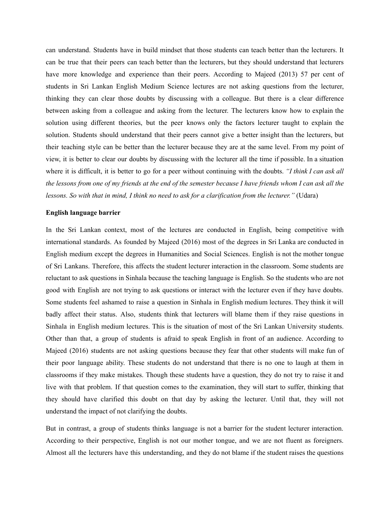can understand. Students have in build mindset that those students can teach better than the lecturers. It can be true that their peers can teach better than the lecturers, but they should understand that lecturers have more knowledge and experience than their peers. According to Majeed (2013) 57 per cent of students in Sri Lankan English Medium Science lectures are not asking questions from the lecturer, thinking they can clear those doubts by discussing with a colleague. But there is a clear difference between asking from a colleague and asking from the lecturer. The lecturers know how to explain the solution using different theories, but the peer knows only the factors lecturer taught to explain the solution. Students should understand that their peers cannot give a better insight than the lecturers, but their teaching style can be better than the lecturer because they are at the same level. From my point of view, it is better to clear our doubts by discussing with the lecturer all the time if possible. In a situation where it is difficult, it is better to go for a peer without continuing with the doubts. *"I think I can ask all* the lessons from one of my friends at the end of the semester because I have friends whom I can ask all the lessons. So with that in mind, I think no need to ask for a clarification from the lecturer." (Udara)

#### **English language barrier**

In the Sri Lankan context, most of the lectures are conducted in English, being competitive with international standards. As founded by Majeed (2016) most of the degrees in Sri Lanka are conducted in English medium except the degrees in Humanities and Social Sciences. English is not the mother tongue of Sri Lankans. Therefore, this affects the student lecturer interaction in the classroom. Some students are reluctant to ask questions in Sinhala because the teaching language is English. So the students who are not good with English are not trying to ask questions or interact with the lecturer even if they have doubts. Some students feel ashamed to raise a question in Sinhala in English medium lectures. They think it will badly affect their status. Also, students think that lecturers will blame them if they raise questions in Sinhala in English medium lectures. This is the situation of most of the Sri Lankan University students. Other than that, a group of students is afraid to speak English in front of an audience. According to Majeed (2016) students are not asking questions because they fear that other students will make fun of their poor language ability. These students do not understand that there is no one to laugh at them in classrooms if they make mistakes. Though these students have a question, they do not try to raise it and live with that problem. If that question comes to the examination, they will start to suffer, thinking that they should have clarified this doubt on that day by asking the lecturer. Until that, they will not understand the impact of not clarifying the doubts.

But in contrast, a group of students thinks language is not a barrier for the student lecturer interaction. According to their perspective, English is not our mother tongue, and we are not fluent as foreigners. Almost all the lecturers have this understanding, and they do not blame if the student raises the questions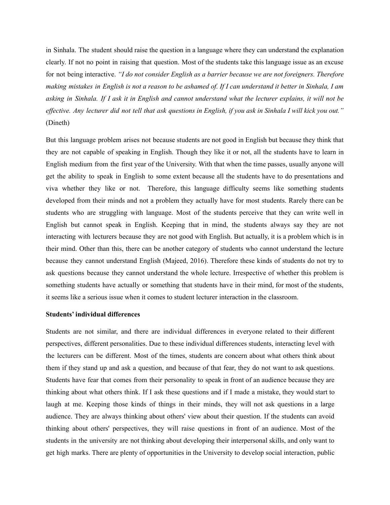in Sinhala. The student should raise the question in a language where they can understand the explanation clearly. If not no point in raising that question. Most of the students take this language issue as an excuse for not being interactive. *"I do not consider English as a barrier because we are not foreigners. Therefore* making mistakes in English is not a reason to be ashamed of. If I can understand it better in Sinhala, I am asking in Sinhala. If I ask it in English and cannot understand what the lecturer explains, it will not be effective. Any lecturer did not tell that ask questions in English, if you ask in Sinhala I will kick you out." (Dineth)

But this language problem arises not because students are not good in English but because they think that they are not capable of speaking in English. Though they like it or not, all the students have to learn in English medium from the first year of the University. With that when the time passes, usually anyone will get the ability to speak in English to some extent because all the students have to do presentations and viva whether they like or not. Therefore, this language difficulty seems like something students developed from their minds and not a problem they actually have for most students. Rarely there can be students who are struggling with language. Most of the students perceive that they can write well in English but cannot speak in English. Keeping that in mind, the students always say they are not interacting with lecturers because they are not good with English. But actually, it is a problem which is in their mind. Other than this, there can be another category of students who cannot understand the lecture because they cannot understand English (Majeed, 2016). Therefore these kinds of students do not try to ask questions because they cannot understand the whole lecture. Irrespective of whether this problem is something students have actually or something that students have in their mind, for most of the students, it seems like a serious issue when it comes to student lecturer interaction in the classroom.

#### **Students' individual differences**

Students are not similar, and there are individual differences in everyone related to their different perspectives, different personalities. Due to these individual differences students, interacting level with the lecturers can be different. Most of the times, students are concern about what others think about them if they stand up and ask a question, and because of that fear, they do not want to ask questions. Students have fear that comes from their personality to speak in front of an audience because they are thinking about what others think. If I ask these questions and if I made a mistake, they would start to laugh at me. Keeping those kinds of things in their minds, they will not ask questions in a large audience. They are always thinking about others' view about their question. If the students can avoid thinking about others' perspectives, they will raise questions in front of an audience. Most of the students in the university are not thinking about developing their interpersonal skills, and only want to get high marks. There are plenty of opportunities in the University to develop social interaction, public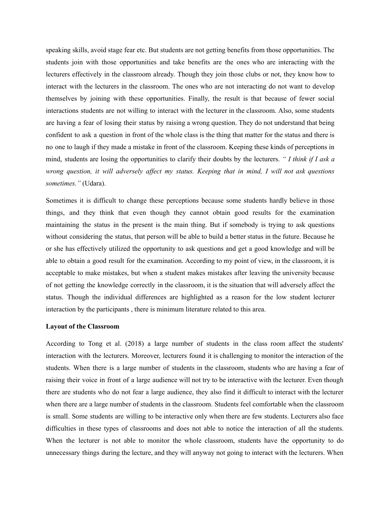speaking skills, avoid stage fear etc. But students are not getting benefits from those opportunities. The students join with those opportunities and take benefits are the ones who are interacting with the lecturers effectively in the classroom already. Though they join those clubs or not, they know how to interact with the lecturers in the classroom. The ones who are not interacting do not want to develop themselves by joining with these opportunities. Finally, the result is that because of fewer social interactions students are not willing to interact with the lecturer in the classroom. Also, some students are having a fear of losing their status by raising a wrong question. They do not understand that being confident to ask a question in front of the whole class is the thing that matter for the status and there is no one to laugh if they made a mistake in front of the classroom. Keeping these kinds of perceptions in mind, students are losing the opportunities to clarify their doubts by the lecturers. *" I think if I ask a wrong question, it will adversely af ect my status. Keeping that in mind, I will not ask questions sometimes."* (Udara).

Sometimes it is difficult to change these perceptions because some students hardly believe in those things, and they think that even though they cannot obtain good results for the examination maintaining the status in the present is the main thing. But if somebody is trying to ask questions without considering the status, that person will be able to build a better status in the future. Because he or she has effectively utilized the opportunity to ask questions and get a good knowledge and will be able to obtain a good result for the examination. According to my point of view, in the classroom, it is acceptable to make mistakes, but when a student makes mistakes after leaving the university because of not getting the knowledge correctly in the classroom, it is the situation that will adversely affect the status. Though the individual differences are highlighted as a reason for the low student lecturer interaction by the participants , there is minimum literature related to this area.

#### **Layout of the Classroom**

According to Tong et al. (2018) a large number of students in the class room affect the students' interaction with the lecturers. Moreover, lecturers found it is challenging to monitor the interaction of the students. When there is a large number of students in the classroom, students who are having a fear of raising their voice in front of a large audience will not try to be interactive with the lecturer. Even though there are students who do not fear a large audience, they also find it difficult to interact with the lecturer when there are a large number of students in the classroom. Students feel comfortable when the classroom is small. Some students are willing to be interactive only when there are few students. Lecturers also face difficulties in these types of classrooms and does not able to notice the interaction of all the students. When the lecturer is not able to monitor the whole classroom, students have the opportunity to do unnecessary things during the lecture, and they will anyway not going to interact with the lecturers. When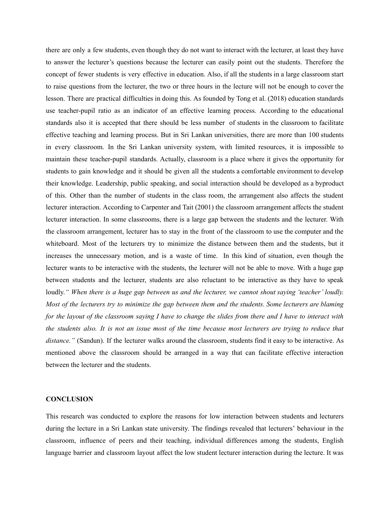there are only a few students, even though they do not want to interact with the lecturer, at least they have to answer the lecturer's questions because the lecturer can easily point out the students. Therefore the concept of fewer students is very effective in education. Also, if all the students in a large classroom start to raise questions from the lecturer, the two or three hours in the lecture will not be enough to cover the lesson. There are practical difficulties in doing this. As founded by Tong et al. (2018) education standards use teacher-pupil ratio as an indicator of an effective learning process. According to the educational standards also it is accepted that there should be less number of students in the classroom to facilitate effective teaching and learning process. But in Sri Lankan universities, there are more than 100 students in every classroom. In the Sri Lankan university system, with limited resources, it is impossible to maintain these teacher-pupil standards. Actually, classroom is a place where it gives the opportunity for students to gain knowledge and it should be given all the students a comfortable environment to develop their knowledge. Leadership, public speaking, and social interaction should be developed as a byproduct of this. Other than the number of students in the class room, the arrangement also affects the student lecturer interaction. According to Carpenter and Tait (2001) the classroom arrangement affects the student lecturer interaction. In some classrooms, there is a large gap between the students and the lecturer. With the classroom arrangement, lecturer has to stay in the front of the classroom to use the computer and the whiteboard. Most of the lecturers try to minimize the distance between them and the students, but it increases the unnecessary motion, and is a waste of time. In this kind of situation, even though the lecturer wants to be interactive with the students, the lecturer will not be able to move. With a huge gap between students and the lecturer, students are also reluctant to be interactive as they have to speak loudly." When there is a huge gap between us and the lecturer, we cannot shout saying 'teacher' loudly. Most of the lecturers try to minimize the gap between them and the students. Some lecturers are blaming for the layout of the classroom saying I have to change the slides from there and I have to interact with the students also. It is not an issue most of the time because most lecturers are trying to reduce that *distance."* (Sandun). If the lecturer walks around the classroom, students find it easy to be interactive. As mentioned above the classroom should be arranged in a way that can facilitate effective interaction between the lecturer and the students.

#### **CONCLUSION**

This research was conducted to explore the reasons for low interaction between students and lecturers during the lecture in a Sri Lankan state university. The findings revealed that lecturers' behaviour in the classroom, influence of peers and their teaching, individual differences among the students, English language barrier and classroom layout affect the low student lecturer interaction during the lecture. It was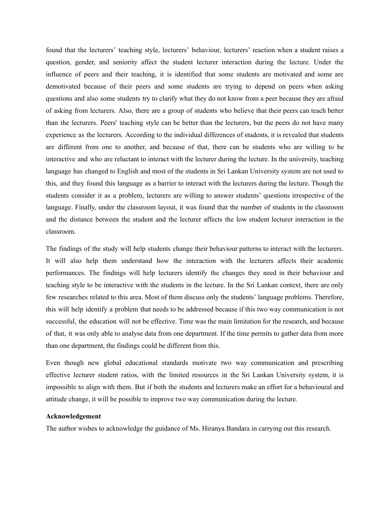found that the lecturers' teaching style, lecturers' behaviour, lecturers' reaction when a student raises a question, gender, and seniority affect the student lecturer interaction during the lecture. Under the influence of peers and their teaching, it is identified that some students are motivated and some are demotivated because of their peers and some students are trying to depend on peers when asking questions and also some students try to clarify what they do not know from a peer because they are afraid of asking from lecturers. Also, there are a group of students who believe that their peers can teach better than the lecturers. Peers' teaching style can be better than the lecturers, but the peers do not have many experience as the lecturers. According to the individual differences of students, it is revealed that students are different from one to another, and because of that, there can be students who are willing to be interactive and who are reluctant to interact with the lecturer during the lecture. In the university, teaching language has changed to English and most of the students in Sri Lankan University system are not used to this, and they found this language as a barrier to interact with the lecturers during the lecture. Though the students consider it as a problem, lecturers are willing to answer students' questions irrespective of the language. Finally, under the classroom layout, it was found that the number of students in the classroom and the distance between the student and the lecturer affects the low student lecturer interaction in the classroom.

The findings of the study will help students change their behaviour patterns to interact with the lecturers. It will also help them understand how the interaction with the lecturers affects their academic performances. The findings will help lecturers identify the changes they need in their behaviour and teaching style to be interactive with the students in the lecture. In the Sri Lankan context, there are only few researches related to this area. Most of them discuss only the students' language problems. Therefore, this will help identify a problem that needs to be addressed because if this two way communication is not successful, the education will not be effective. Time was the main limitation for the research, and because of that, it was only able to analyse data from one department. If the time permits to gather data from more than one department, the findings could be different from this.

Even though new global educational standards motivate two way communication and prescribing effective lecturer student ratios, with the limited resources in the Sri Lankan University system, it is impossible to align with them. But if both the students and lecturers make an effort for a behavioural and attitude change, it will be possible to improve two way communication during the lecture.

#### **Acknowledgement**

The author wishes to acknowledge the guidance of Ms. Hiranya Bandara in carrying out this research.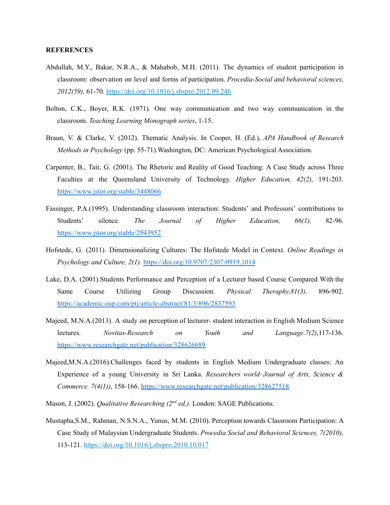#### **REFERENCES**

- Abdullah, M.Y., Bakar, N.R.A., & Mahabob, M.H. (2011). The dynamics of student participation in classroom: observation on level and forms of participation. *Procedia-Social and behavioral sciences, 2012(59),* 61-70. <https://doi.org/10.1016/j.sbspro.2012.09.246>
- Bolton, C.K., Boyer, R.K. (1971). One way communication and two way communication in the classroom. *Teaching Learning Monograph series*, 1-15.
- Braun, V. & Clarke, V. (2012). Thematic Analysis. In Cooper, H. (Ed.), *APA Handbook of Research Methods in Psychology* (pp. 55-71).Washington, DC: American Psychological Association.
- Carpenter, B., Tait, G. (2001). The Rhetoric and Reality of Good Teaching: A Case Study across Three Faculties at the Queensland University of Technology. *Higher Education, 42(2),* 191-203. <https://www.jstor.org/stable/3448066>
- Fassinger, P.A.(1995). Understanding classroom interaction: Students' and Professors' contributions to Students' silence. *The Journal of Higher Education, 66(1),* 82-96. <https://www.jstor.org/stable/2943952>
- Hofstede, G. (2011). Dimensionalizing Cultures: The Hofstede Model in Context. *Online Readings in Psychology and Culture, 2(1).* <https://doi.org/10.9707/2307-0919.1014>
- Lake, D.A. (2001).Students Performance and Perception of a Lecturer based Course Compared With the Same Course Utilizing Group Discussion. *Physical Theraphy,81(3),* 896-902. <https://academic.oup.com/ptj/article-abstract/81/3/896/2857593>
- Majeed, M.N.A.(2013). A study on perception of lecturer- student interaction in English Medium Science lectures. *Novitas-Research on Youth and Language.7(2)*,117-136. <https://www.researchgate.net/publication/328626689>
- Majeed,M.N.A.(2016).Challenges faced by students in English Medium Undergraduate classes: An Experience of a young University in Sri Lanka. *Researchers world–Journal of Arts, Science & Commerce. 7(4(1))*, 158-166. <https://www.researchgate.net/publication/328627518>
- Mason, J. (2002). *Qualitative Researching (2<sup>nd</sup> ed.)*. London: SAGE Publications.
- Mustapha,S.M., Rahman, N.S.N.A., Yunus, M.M. (2010). Perception towards Classroom Participation: A Case Study of Malaysian Undergraduate Students. *Procedia Social and Behavioral Sciences, 7(2010),* 113-121. <https://doi.org/10.1016/j.sbspro.2010.10.017>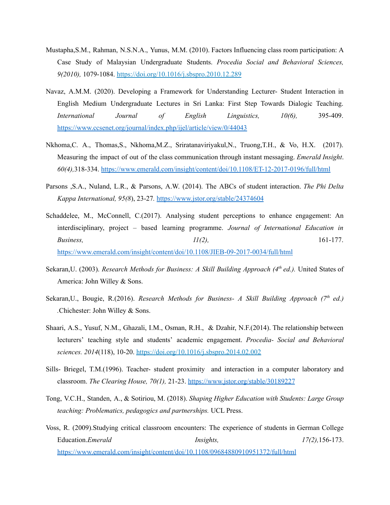- Mustapha,S.M., Rahman, N.S.N.A., Yunus, M.M. (2010). Factors Influencing class room participation: A Case Study of Malaysian Undergraduate Students. *Procedia Social and Behavioral Sciences, 9(2010),* 1079-1084. <https://doi.org/10.1016/j.sbspro.2010.12.289>
- Navaz, A.M.M. (2020). Developing a Framework for Understanding Lecturer- Student Interaction in English Medium Undergraduate Lectures in Sri Lanka: First Step Towards Dialogic Teaching. *International Journal of English Linguistics, 10(6),* 395-409. <https://www.ccsenet.org/journal/index.php/ijel/article/view/0/44043>
- Nkhoma,C. A., Thomas,S., Nkhoma,M.Z., Sriratanaviriyakul,N., Truong,T.H., & Vo, H.X. (2017). Measuring the impact of out of the class communication through instant messaging. *Emerald Insight*. *60(4),*318-334. <https://www.emerald.com/insight/content/doi/10.1108/ET-12-2017-0196/full/html>
- Parsons ,S.A., Nuland, L.R., & Parsons, A.W. (2014). The ABCs of student interaction. *The Phi Delta Kappa International, 95(8*), 23-27*.* <https://www.jstor.org/stable/24374604>
- Schaddelee, M., McConnell, C.(2017). Analysing student perceptions to enhance engagement: An interdisciplinary, project – based learning programme. *Journal of International Education in Business, 11(2),* 161-177. <https://www.emerald.com/insight/content/doi/10.1108/JIEB-09-2017-0034/full/html>
- Sekaran,U. (2003). *Research Methods for Business: A Skill Building Approach (4 th ed.).* United States of America: John Willey & Sons.
- Sekaran,U., Bougie, R.(2016). *Research Methods for Business- A Skill Building Approach (7 th ed.) .*Chichester: John Willey & Sons.
- Shaari, A.S., Yusuf, N.M., Ghazali, I.M., Osman, R.H., & Dzahir, N.F.(2014). The relationship between lecturers' teaching style and students' academic engagement. *Procedia- Social and Behavioral sciences. 2014*(118), 10-20. <https://doi.org/10.1016/j.sbspro.2014.02.002>
- Sills- Briegel, T.M.(1996). Teacher- student proximity and interaction in a computer laboratory and classroom. *The Clearing House, 70(1),* 21-23. <https://www.jstor.org/stable/30189227>
- Tong, V.C.H., Standen, A., & Sotiriou, M. (2018). *Shaping Higher Education with Students: Large Group teaching: Problematics, pedagogics and partnerships.* UCL Press.
- Voss, R. (2009).Studying critical classroom encounters: The experience of students in German College Education.*Emerald Insights, 17(2),*156-173. <https://www.emerald.com/insight/content/doi/10.1108/09684880910951372/full/html>